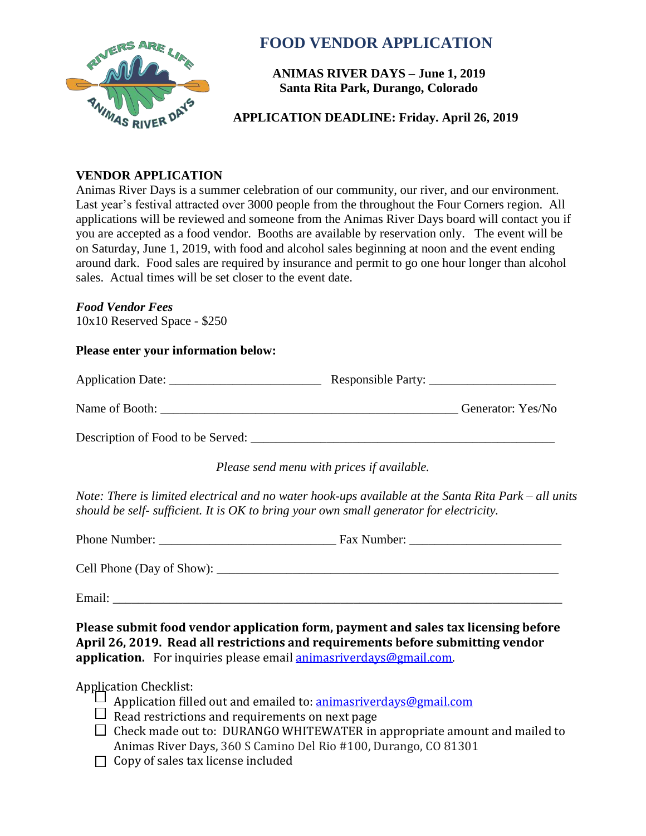

# **FOOD VENDOR APPLICATION**

**ANIMAS RIVER DAYS – June 1, 2019 Santa Rita Park, Durango, Colorado** 

**APPLICATION DEADLINE: Friday. April 26, 2019** 

## **VENDOR APPLICATION**

Animas River Days is a summer celebration of our community, our river, and our environment. Last year's festival attracted over 3000 people from the throughout the Four Corners region. All applications will be reviewed and someone from the Animas River Days board will contact you if you are accepted as a food vendor. Booths are available by reservation only. The event will be on Saturday, June 1, 2019, with food and alcohol sales beginning at noon and the event ending around dark. Food sales are required by insurance and permit to go one hour longer than alcohol sales. Actual times will be set closer to the event date.

#### *Food Vendor Fees*

10x10 Reserved Space - \$250

#### **Please enter your information below:**

| Application Date:                 | Responsible Party: |                   |
|-----------------------------------|--------------------|-------------------|
| Name of Booth:                    |                    | Generator: Yes/No |
| Description of Food to be Served: |                    |                   |

*Please send menu with prices if available.*

*Note: There is limited electrical and no water hook-ups available at the Santa Rita Park – all units should be self- sufficient. It is OK to bring your own small generator for electricity.* 

Phone Number: \_\_\_\_\_\_\_\_\_\_\_\_\_\_\_\_\_\_\_\_\_\_\_\_\_\_\_\_ Fax Number: \_\_\_\_\_\_\_\_\_\_\_\_\_\_\_\_\_\_\_\_\_\_\_\_

Cell Phone (Day of Show): \_\_\_\_\_\_\_\_\_\_\_\_\_\_\_\_\_\_\_\_\_\_\_\_\_\_\_\_\_\_\_\_\_\_\_\_\_\_\_\_\_\_\_\_\_\_\_\_\_\_\_\_\_\_

Email:

**Please submit food vendor application form, payment and sales tax licensing before April 26, 2019. Read all restrictions and requirements before submitting vendor application.** For inquiries please email [animasriverdays@gmail.com.](mailto:animasriverdays@gmail.com)

### Application Checklist:

- $\perp$  Application filled out and emailed to: **animasriverdays@gmail.com**
- $\Box$  Read restrictions and requirements on next page
- $\Box$  Check made out to: DURANGO WHITEWATER in appropriate amount and mailed to Animas River Days, 360 S Camino Del Rio #100, Durango, CO 81301
- $\Box$  Copy of sales tax license included